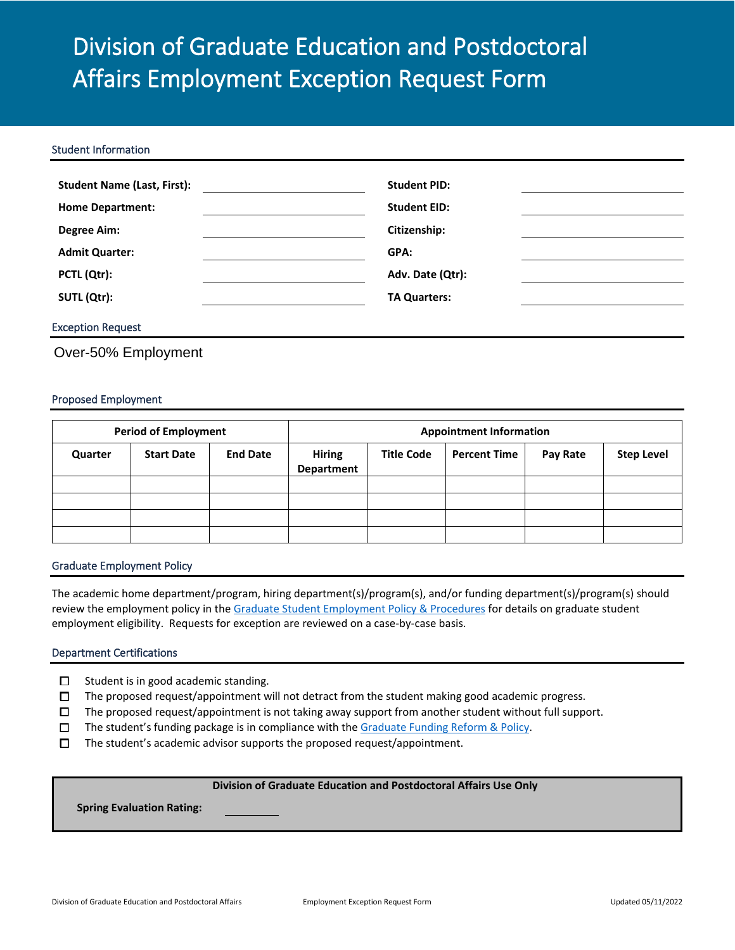# Division of Graduate Education and Postdoctoral Affairs Employment Exception Request Form

#### Student Information

| <b>Student Name (Last, First):</b> | <b>Student PID:</b> |  |
|------------------------------------|---------------------|--|
| <b>Home Department:</b>            | <b>Student EID:</b> |  |
| <b>Degree Aim:</b>                 | Citizenship:        |  |
| <b>Admit Quarter:</b>              | GPA:                |  |
| PCTL (Qtr):                        | Adv. Date (Qtr):    |  |
| SUTL (Qtr):                        | <b>TA Quarters:</b> |  |
|                                    |                     |  |

# Exception Request

Over-50% Employment

## Proposed Employment

| <b>Period of Employment</b> |                   | <b>Appointment Information</b> |                             |                   |                     |          |                   |
|-----------------------------|-------------------|--------------------------------|-----------------------------|-------------------|---------------------|----------|-------------------|
| Quarter                     | <b>Start Date</b> | <b>End Date</b>                | <b>Hiring</b><br>Department | <b>Title Code</b> | <b>Percent Time</b> | Pay Rate | <b>Step Level</b> |
|                             |                   |                                |                             |                   |                     |          |                   |
|                             |                   |                                |                             |                   |                     |          |                   |
|                             |                   |                                |                             |                   |                     |          |                   |
|                             |                   |                                |                             |                   |                     |          |                   |

#### Graduate Employment Policy

The academic home department/program, hiring department(s)/program(s), and/or funding department(s)/program(s) should review the employment policy in th[e Graduate Student Employment Policy & Procedures](https://collab.ucsd.edu/x/vj2YBQ) for details on graduate student employment eligibility. Requests for exception are reviewed on a case-by-case basis.

#### Department Certifications

- ☐ Student is in good academic standing.
- ☐ The proposed request/appointment will not detract from the student making good academic progress.
- ☐ The proposed request/appointment is not taking away support from another student without full support.
- ☐ The student's funding package is in compliance with th[e Graduate Funding Reform & Policy.](https://collab.ucsd.edu/display/GDCP/Graduate+Student+Funding+Policy)
- $\square$  The student's academic advisor supports the proposed request/appointment.

#### **Division of Graduate Education and Postdoctoral Affairs Use Only**

**Spring Evaluation Rating:**